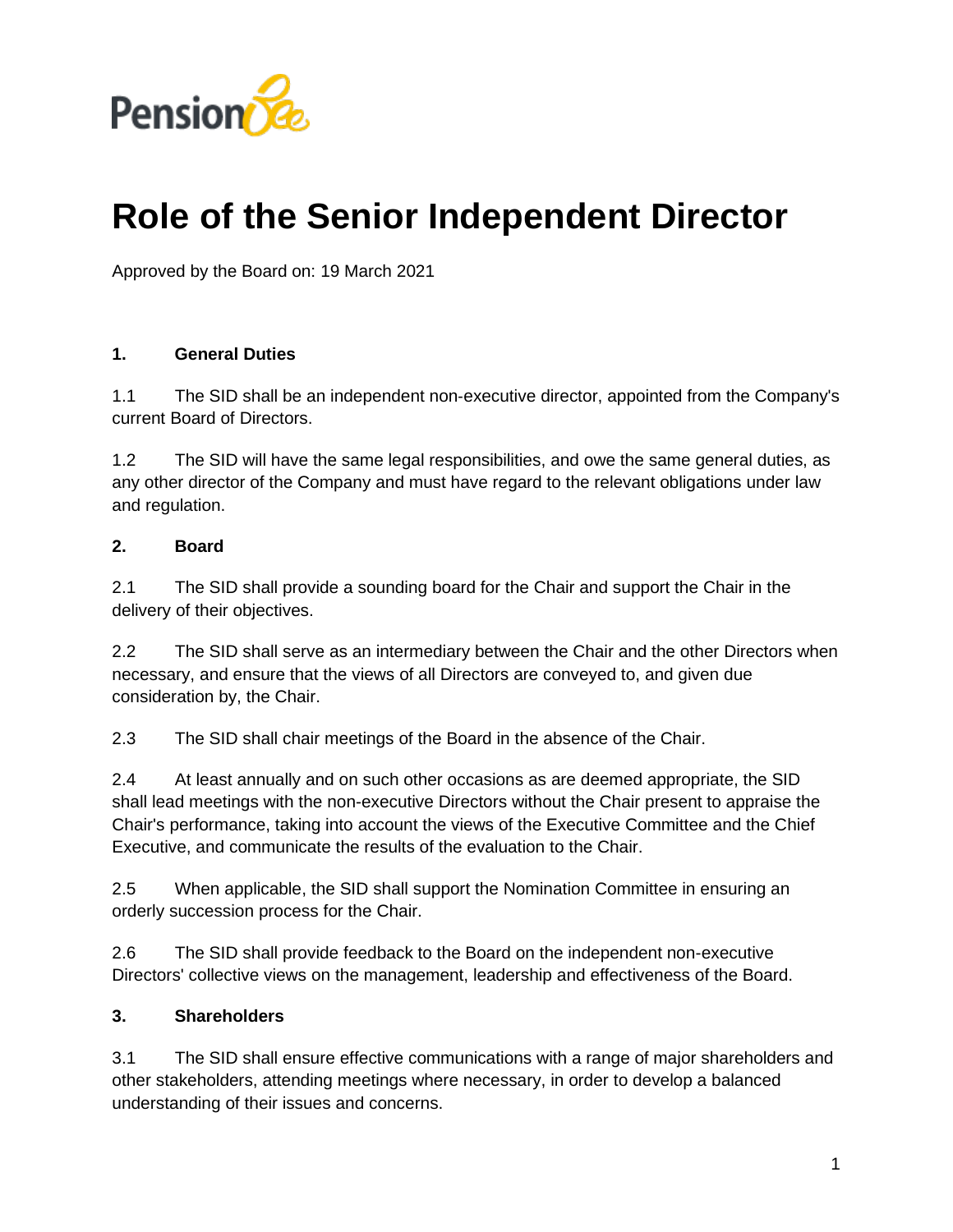

# **Role of the Senior Independent Director**

Approved by the Board on: 19 March 2021

#### **1. General Duties**

1.1 The SID shall be an independent non‑executive director, appointed from the Company's current Board of Directors.

1.2 The SID will have the same legal responsibilities, and owe the same general duties, as any other director of the Company and must have regard to the relevant obligations under law and regulation.

### **2. Board**

2.1 The SID shall provide a sounding board for the Chair and support the Chair in the delivery of their objectives.

2.2 The SID shall serve as an intermediary between the Chair and the other Directors when necessary, and ensure that the views of all Directors are conveyed to, and given due consideration by, the Chair.

2.3 The SID shall chair meetings of the Board in the absence of the Chair.

2.4 At least annually and on such other occasions as are deemed appropriate, the SID shall lead meetings with the non-executive Directors without the Chair present to appraise the Chair's performance, taking into account the views of the Executive Committee and the Chief Executive, and communicate the results of the evaluation to the Chair.

2.5 When applicable, the SID shall support the Nomination Committee in ensuring an orderly succession process for the Chair.

2.6 The SID shall provide feedback to the Board on the independent non-executive Directors' collective views on the management, leadership and effectiveness of the Board.

#### **3. Shareholders**

3.1 The SID shall ensure effective communications with a range of major shareholders and other stakeholders, attending meetings where necessary, in order to develop a balanced understanding of their issues and concerns.